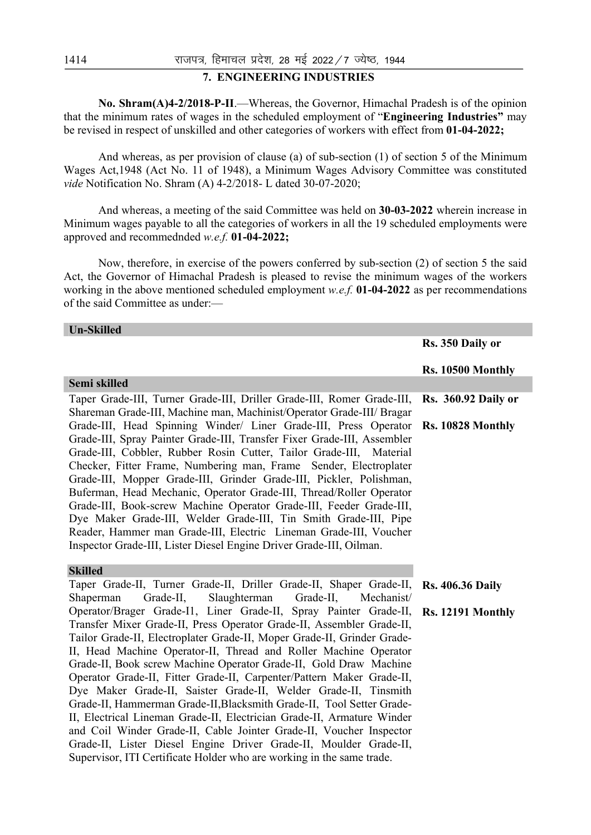# **7. ENGINEERING INDUSTRIES**

 **No. Shram(A)4-2/2018-P-II**.—Whereas, the Governor, Himachal Pradesh is of the opinion that the minimum rates of wages in the scheduled employment of "**Engineering Industries"** may be revised in respect of unskilled and other categories of workers with effect from **01-04-2022;** 

 And whereas, as per provision of clause (a) of sub-section (1) of section 5 of the Minimum Wages Act,1948 (Act No. 11 of 1948), a Minimum Wages Advisory Committee was constituted *vide* Notification No. Shram (A) 4-2/2018- L dated 30-07-2020;

 And whereas, a meeting of the said Committee was held on **30-03-2022** wherein increase in Minimum wages payable to all the categories of workers in all the 19 scheduled employments were approved and recommednded *w.e.f.* **01-04-2022;** 

 Now, therefore, in exercise of the powers conferred by sub-section (2) of section 5 the said Act, the Governor of Himachal Pradesh is pleased to revise the minimum wages of the workers working in the above mentioned scheduled employment *w.e.f.* **01-04-2022** as per recommendations of the said Committee as under:—

| <b>Un-Skilled</b>                                                                                                                        |                            |
|------------------------------------------------------------------------------------------------------------------------------------------|----------------------------|
|                                                                                                                                          | Rs. 350 Daily or           |
|                                                                                                                                          | Rs. 10500 Monthly          |
| Semi skilled                                                                                                                             |                            |
| Taper Grade-III, Turner Grade-III, Driller Grade-III, Romer Grade-III,                                                                   | <b>Rs.</b> 360.92 Daily or |
| Shareman Grade-III, Machine man, Machinist/Operator Grade-III/ Bragar                                                                    |                            |
| Grade-III, Head Spinning Winder/ Liner Grade-III, Press Operator                                                                         | Rs. 10828 Monthly          |
| Grade-III, Spray Painter Grade-III, Transfer Fixer Grade-III, Assembler                                                                  |                            |
| Grade-III, Cobbler, Rubber Rosin Cutter, Tailor Grade-III, Material                                                                      |                            |
| Checker, Fitter Frame, Numbering man, Frame Sender, Electroplater<br>Grade-III, Mopper Grade-III, Grinder Grade-III, Pickler, Polishman, |                            |
| Buferman, Head Mechanic, Operator Grade-III, Thread/Roller Operator                                                                      |                            |
| Grade-III, Book-screw Machine Operator Grade-III, Feeder Grade-III,                                                                      |                            |
| Dye Maker Grade-III, Welder Grade-III, Tin Smith Grade-III, Pipe                                                                         |                            |
| Reader, Hammer man Grade-III, Electric Lineman Grade-III, Voucher                                                                        |                            |
| Inspector Grade-III, Lister Diesel Engine Driver Grade-III, Oilman.                                                                      |                            |
|                                                                                                                                          |                            |
| <b>Skilled</b>                                                                                                                           |                            |
| Taper Grade-II, Turner Grade-II, Driller Grade-II, Shaper Grade-II,                                                                      | <b>Rs. 406.36 Daily</b>    |
| Grade-II,<br>Slaughterman<br>Grade-II,<br>Shaperman<br>Mechanist/<br>Operator/Brager Grade-I1, Liner Grade-II, Spray Painter Grade-II,   |                            |
| Transfer Mixer Grade-II, Press Operator Grade-II, Assembler Grade-II,                                                                    | Rs. 12191 Monthly          |
| Tailor Grade-II, Electroplater Grade-II, Moper Grade-II, Grinder Grade-                                                                  |                            |
| II, Head Machine Operator-II, Thread and Roller Machine Operator                                                                         |                            |
| Grade-II, Book screw Machine Operator Grade-II, Gold Draw Machine                                                                        |                            |
| Operator Grade-II, Fitter Grade-II, Carpenter/Pattern Maker Grade-II,                                                                    |                            |
| Dye Maker Grade-II, Saister Grade-II, Welder Grade-II, Tinsmith                                                                          |                            |
| Grade-II, Hammerman Grade-II, Blacksmith Grade-II, Tool Setter Grade-                                                                    |                            |
| II, Electrical Lineman Grade-II, Electrician Grade-II, Armature Winder                                                                   |                            |
| and Coil Winder Grade-II, Cable Jointer Grade-II, Voucher Inspector                                                                      |                            |
| Grade-II, Lister Diesel Engine Driver Grade-II, Moulder Grade-II,                                                                        |                            |
| Supervisor, ITI Certificate Holder who are working in the same trade.                                                                    |                            |